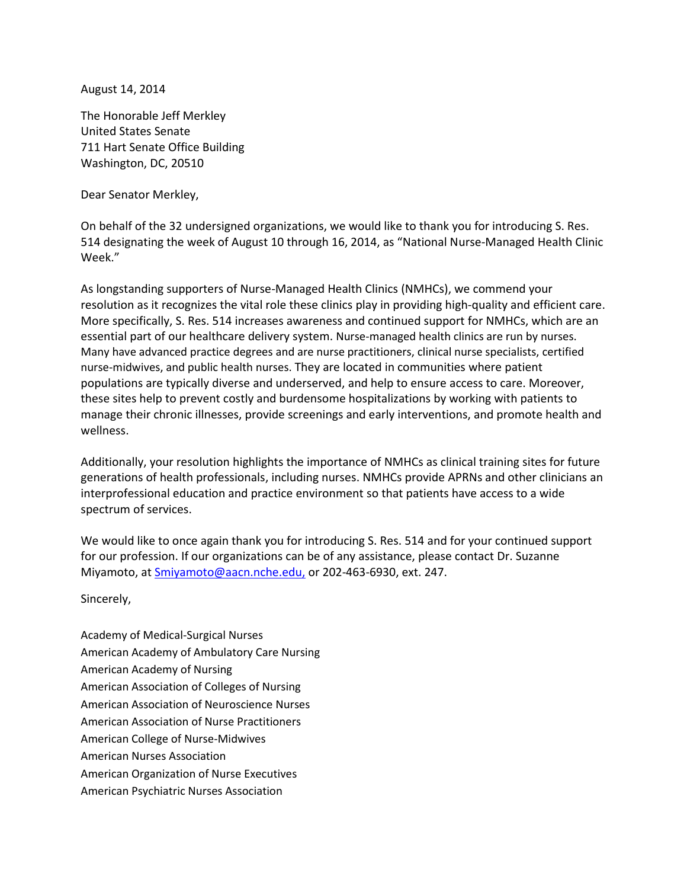August 14, 2014

The Honorable Jeff Merkley United States Senate 711 Hart Senate Office Building Washington, DC, 20510

Dear Senator Merkley,

On behalf of the 32 undersigned organizations, we would like to thank you for introducing S. Res. 514 designating the week of August 10 through 16, 2014, as "National Nurse-Managed Health Clinic Week."

As longstanding supporters of Nurse-Managed Health Clinics (NMHCs), we commend your resolution as it recognizes the vital role these clinics play in providing high-quality and efficient care. More specifically, S. Res. 514 increases awareness and continued support for NMHCs, which are an essential part of our healthcare delivery system. Nurse-managed health clinics are run by nurses. Many have advanced practice degrees and are nurse practitioners, clinical nurse specialists, certified nurse-midwives, and public health nurses. They are located in communities where patient populations are typically diverse and underserved, and help to ensure access to care. Moreover, these sites help to prevent costly and burdensome hospitalizations by working with patients to manage their chronic illnesses, provide screenings and early interventions, and promote health and wellness.

Additionally, your resolution highlights the importance of NMHCs as clinical training sites for future generations of health professionals, including nurses. NMHCs provide APRNs and other clinicians an interprofessional education and practice environment so that patients have access to a wide spectrum of services.

We would like to once again thank you for introducing S. Res. 514 and for your continued support for our profession. If our organizations can be of any assistance, please contact Dr. Suzanne Miyamoto, at **Smiyamoto@aacn.nche.edu**, or 202-463-6930, ext. 247.

Sincerely,

Academy of Medical-Surgical Nurses American Academy of Ambulatory Care Nursing American Academy of Nursing American Association of Colleges of Nursing American Association of Neuroscience Nurses American Association of Nurse Practitioners American College of Nurse-Midwives American Nurses Association American Organization of Nurse Executives American Psychiatric Nurses Association